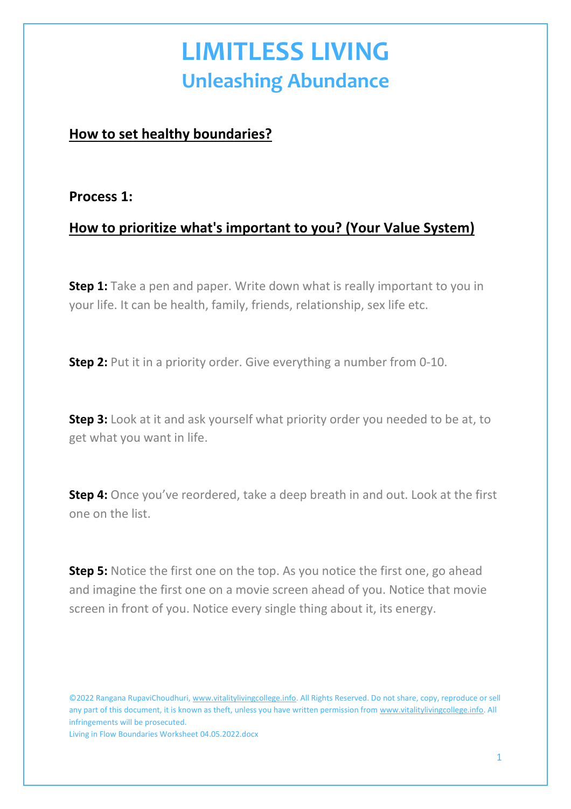## **LIMITLESS LIVING Unleashing Abundance**

### **How to set healthy boundaries?**

#### **Process 1:**

### **How to prioritize what's important to you? (Your Value System)**

**Step 1:** Take a pen and paper. Write down what is really important to you in your life. It can be health, family, friends, relationship, sex life etc.

**Step 2:** Put it in a priority order. Give everything a number from 0-10.

**Step 3:** Look at it and ask yourself what priority order you needed to be at, to get what you want in life.

**Step 4:** Once you've reordered, take a deep breath in and out. Look at the first one on the list.

**Step 5:** Notice the first one on the top. As you notice the first one, go ahead and imagine the first one on a movie screen ahead of you. Notice that movie screen in front of you. Notice every single thing about it, its energy.

©2022 Rangana RupaviChoudhuri, [www.vitalitylivingcollege.info.](about:blank) All Rights Reserved. Do not share, copy, reproduce or sell any part of this document, it is known as theft, unless you have written permission from [www.vitalitylivingcollege.info.](about:blank) All infringements will be prosecuted.

Living in Flow Boundaries Worksheet 04.05.2022.docx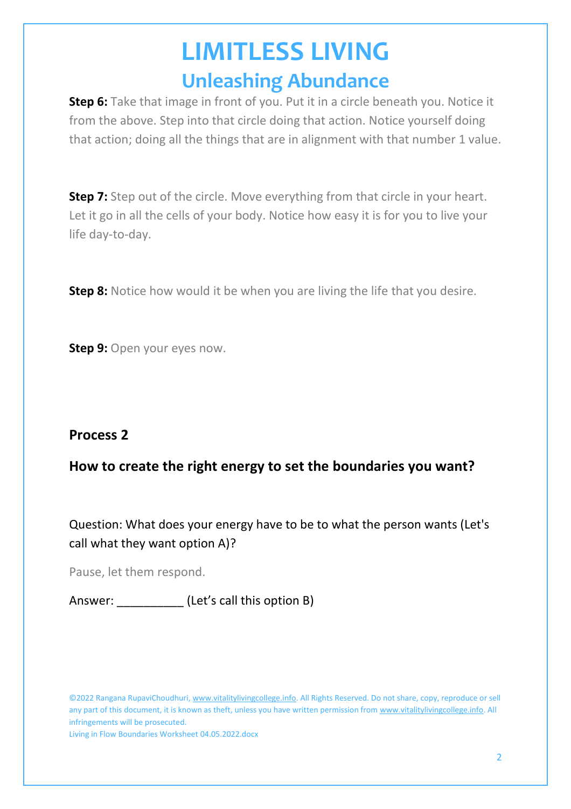# **LIMITLESS LIVING Unleashing Abundance**

**Step 6:** Take that image in front of you. Put it in a circle beneath you. Notice it from the above. Step into that circle doing that action. Notice yourself doing that action; doing all the things that are in alignment with that number 1 value.

**Step 7:** Step out of the circle. Move everything from that circle in your heart. Let it go in all the cells of your body. Notice how easy it is for you to live your life day-to-day.

**Step 8:** Notice how would it be when you are living the life that you desire.

**Step 9: Open your eyes now.** 

#### **Process 2**

#### **How to create the right energy to set the boundaries you want?**

Question: What does your energy have to be to what the person wants (Let's call what they want option A)?

Pause, let them respond.

Answer: \_\_\_\_\_\_\_\_\_\_ (Let's call this option B)

©2022 Rangana RupaviChoudhuri, [www.vitalitylivingcollege.info.](about:blank) All Rights Reserved. Do not share, copy, reproduce or sell any part of this document, it is known as theft, unless you have written permission from [www.vitalitylivingcollege.info.](about:blank) All infringements will be prosecuted.

Living in Flow Boundaries Worksheet 04.05.2022.docx